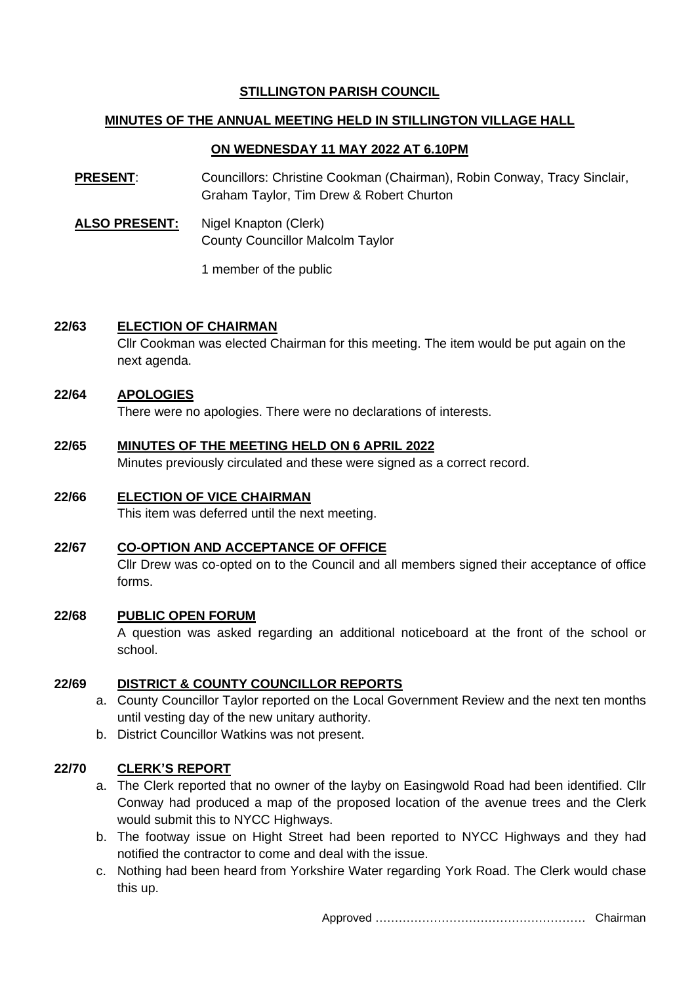# **STILLINGTON PARISH COUNCIL**

# **MINUTES OF THE ANNUAL MEETING HELD IN STILLINGTON VILLAGE HALL**

# **ON WEDNESDAY 11 MAY 2022 AT 6.10PM**

**PRESENT**: Councillors: Christine Cookman (Chairman), Robin Conway, Tracy Sinclair, Graham Taylor, Tim Drew & Robert Churton

ALSO PRESENT: Nigel Knapton (Clerk) County Councillor Malcolm Taylor

1 member of the public

## **22/63 ELECTION OF CHAIRMAN**

Cllr Cookman was elected Chairman for this meeting. The item would be put again on the next agenda.

## **22/64 APOLOGIES**

There were no apologies. There were no declarations of interests.

#### **22/65 MINUTES OF THE MEETING HELD ON 6 APRIL 2022**

Minutes previously circulated and these were signed as a correct record.

## **22/66 ELECTION OF VICE CHAIRMAN**

This item was deferred until the next meeting.

#### **22/67 CO-OPTION AND ACCEPTANCE OF OFFICE**

Cllr Drew was co-opted on to the Council and all members signed their acceptance of office forms.

### **22/68 PUBLIC OPEN FORUM**

A question was asked regarding an additional noticeboard at the front of the school or school.

#### **22/69 DISTRICT & COUNTY COUNCILLOR REPORTS**

- a. County Councillor Taylor reported on the Local Government Review and the next ten months until vesting day of the new unitary authority.
- b. District Councillor Watkins was not present.

#### **22/70 CLERK'S REPORT**

- a. The Clerk reported that no owner of the layby on Easingwold Road had been identified. Cllr Conway had produced a map of the proposed location of the avenue trees and the Clerk would submit this to NYCC Highways.
- b. The footway issue on Hight Street had been reported to NYCC Highways and they had notified the contractor to come and deal with the issue.
- c. Nothing had been heard from Yorkshire Water regarding York Road. The Clerk would chase this up.

Approved ……………………………………………… Chairman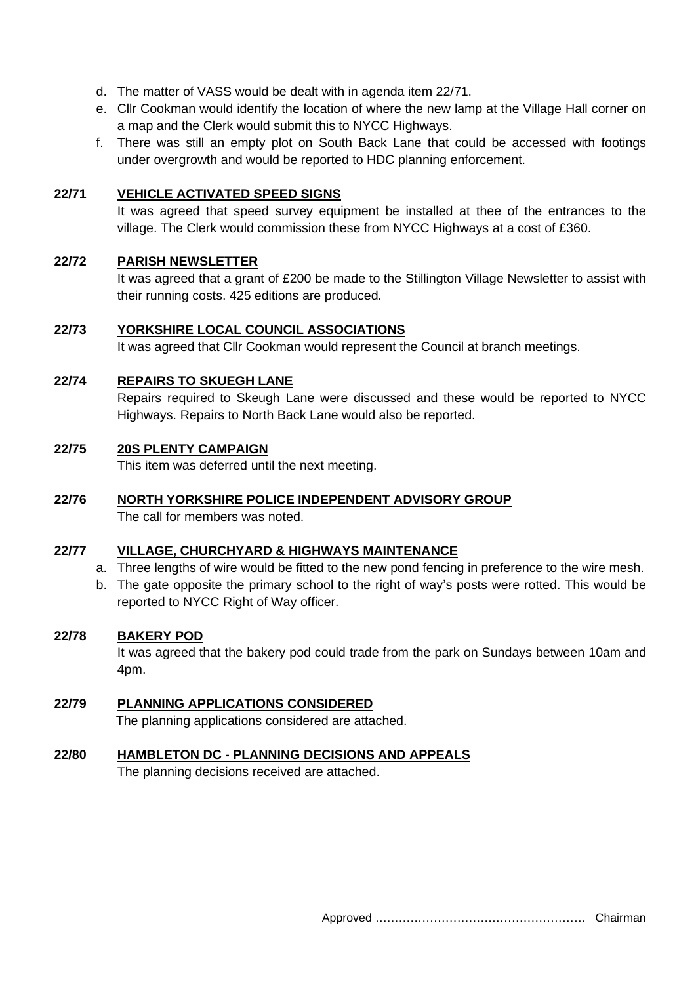- d. The matter of VASS would be dealt with in agenda item 22/71.
- e. Cllr Cookman would identify the location of where the new lamp at the Village Hall corner on a map and the Clerk would submit this to NYCC Highways.
- f. There was still an empty plot on South Back Lane that could be accessed with footings under overgrowth and would be reported to HDC planning enforcement.

## **22/71 VEHICLE ACTIVATED SPEED SIGNS**

It was agreed that speed survey equipment be installed at thee of the entrances to the village. The Clerk would commission these from NYCC Highways at a cost of £360.

## **22/72 PARISH NEWSLETTER**

It was agreed that a grant of £200 be made to the Stillington Village Newsletter to assist with their running costs. 425 editions are produced.

## **22/73 YORKSHIRE LOCAL COUNCIL ASSOCIATIONS**

It was agreed that Cllr Cookman would represent the Council at branch meetings.

## **22/74 REPAIRS TO SKUEGH LANE**

Repairs required to Skeugh Lane were discussed and these would be reported to NYCC Highways. Repairs to North Back Lane would also be reported.

#### **22/75 20S PLENTY CAMPAIGN**

This item was deferred until the next meeting.

# **22/76 NORTH YORKSHIRE POLICE INDEPENDENT ADVISORY GROUP**

The call for members was noted.

#### **22/77 VILLAGE, CHURCHYARD & HIGHWAYS MAINTENANCE**

- a. Three lengths of wire would be fitted to the new pond fencing in preference to the wire mesh.
- b. The gate opposite the primary school to the right of way's posts were rotted. This would be reported to NYCC Right of Way officer.

### **22/78 BAKERY POD**

It was agreed that the bakery pod could trade from the park on Sundays between 10am and 4pm.

#### **22/79 PLANNING APPLICATIONS CONSIDERED**

The planning applications considered are attached.

#### **22/80 HAMBLETON DC - PLANNING DECISIONS AND APPEALS**

The planning decisions received are attached.

Approved ……………………………………………… Chairman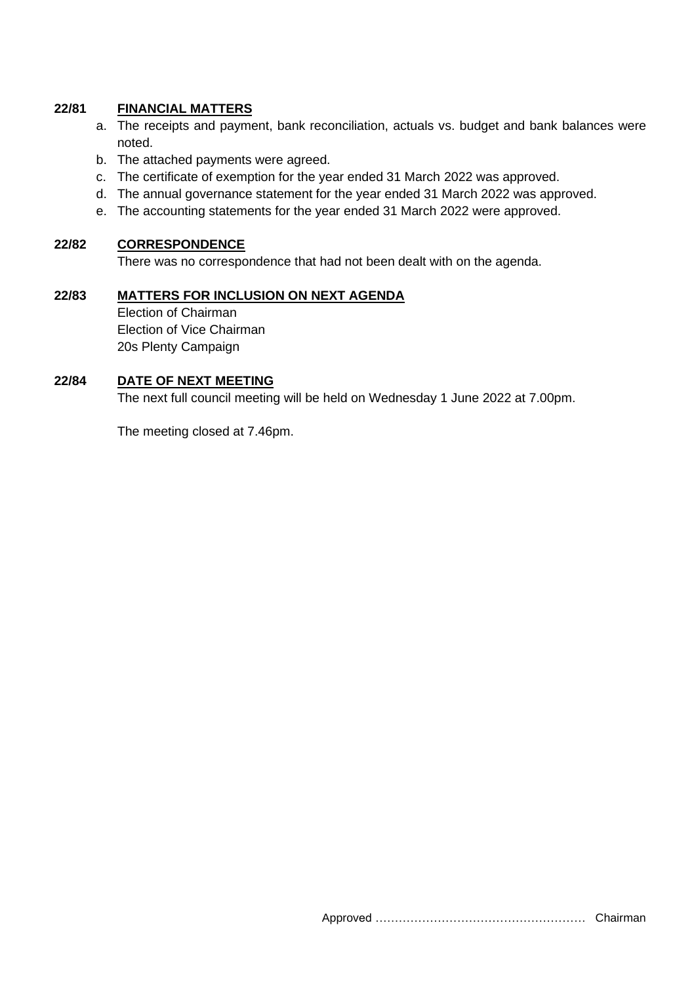# **22/81 FINANCIAL MATTERS**

- a. The receipts and payment, bank reconciliation, actuals vs. budget and bank balances were noted.
- b. The attached payments were agreed.
- c. The certificate of exemption for the year ended 31 March 2022 was approved.
- d. The annual governance statement for the year ended 31 March 2022 was approved.
- e. The accounting statements for the year ended 31 March 2022 were approved.

#### **22/82 CORRESPONDENCE**

There was no correspondence that had not been dealt with on the agenda.

## **22/83 MATTERS FOR INCLUSION ON NEXT AGENDA** Election of Chairman Election of Vice Chairman 20s Plenty Campaign

### **22/84 DATE OF NEXT MEETING**

The next full council meeting will be held on Wednesday 1 June 2022 at 7.00pm.

The meeting closed at 7.46pm.